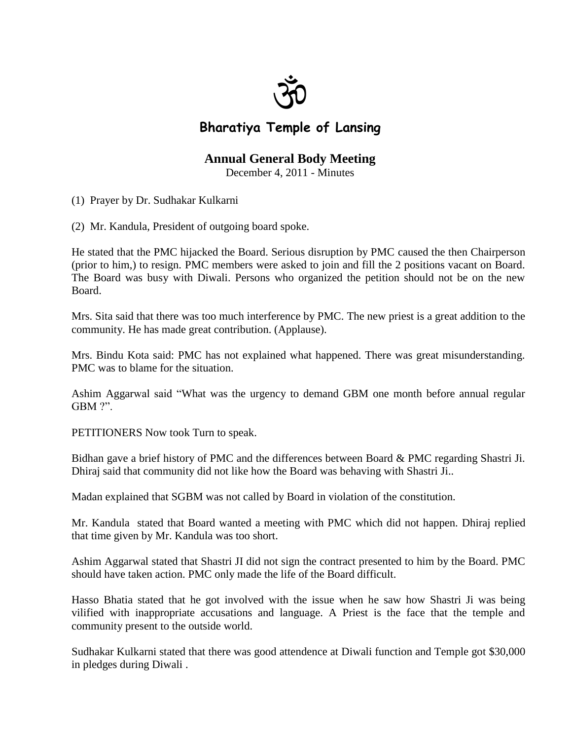

## **Bharatiya Temple of Lansing**

## **Annual General Body Meeting**

December 4, 2011 - Minutes

- (1) Prayer by Dr. Sudhakar Kulkarni
- (2) Mr. Kandula, President of outgoing board spoke.

He stated that the PMC hijacked the Board. Serious disruption by PMC caused the then Chairperson (prior to him,) to resign. PMC members were asked to join and fill the 2 positions vacant on Board. The Board was busy with Diwali. Persons who organized the petition should not be on the new Board.

Mrs. Sita said that there was too much interference by PMC. The new priest is a great addition to the community. He has made great contribution. (Applause).

Mrs. Bindu Kota said: PMC has not explained what happened. There was great misunderstanding. PMC was to blame for the situation.

Ashim Aggarwal said "What was the urgency to demand GBM one month before annual regular GBM ?".

PETITIONERS Now took Turn to speak.

Bidhan gave a brief history of PMC and the differences between Board & PMC regarding Shastri Ji. Dhiraj said that community did not like how the Board was behaving with Shastri Ji..

Madan explained that SGBM was not called by Board in violation of the constitution.

Mr. Kandula stated that Board wanted a meeting with PMC which did not happen. Dhiraj replied that time given by Mr. Kandula was too short.

Ashim Aggarwal stated that Shastri JI did not sign the contract presented to him by the Board. PMC should have taken action. PMC only made the life of the Board difficult.

Hasso Bhatia stated that he got involved with the issue when he saw how Shastri Ji was being vilified with inappropriate accusations and language. A Priest is the face that the temple and community present to the outside world.

Sudhakar Kulkarni stated that there was good attendence at Diwali function and Temple got \$30,000 in pledges during Diwali .